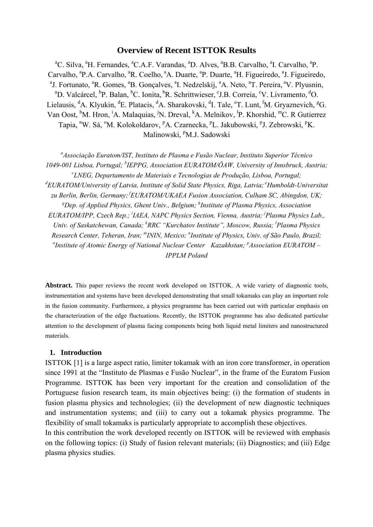## **Overview of Recent ISTTOK Results**

<sup>a</sup>C. Silva, <sup>a</sup>H. Fernandes, <sup>a</sup>C.A.F. Varandas, <sup>a</sup>D. Alves, <sup>a</sup>B.B. Carvalho, <sup>a</sup>I. Carvalho, <sup>a</sup>P. Carvalho, <sup>a</sup>P.A. Carvalho, <sup>a</sup>R. Coelho, <sup>a</sup>A. Duarte, <sup>a</sup>P. Duarte, <sup>a</sup>H. Figueiredo, <sup>a</sup>J. Figueiredo, <sup>a</sup>L. Exploration J. Fortunato, <sup>a</sup>R. Gomes, <sup>a</sup>B. Gonçalves, <sup>a</sup>I. Nedzelskij, <sup>a</sup>A. Neto, <sup>a</sup>T. Pereira, <sup>a</sup>V. Plyusnin, <sup>a</sup>D. Veloéreal, <sup>b</sup>D. Balan, <sup>b</sup>C. Jonita <sup>b</sup>D. Sehrittwieser, <sup>c</sup>LB. Correia, <sup>c</sup>V. Livremento, <sup>d</sup>O. D. Valcárcel, <sup>b</sup>P. Balan, <sup>b</sup>C. Ionita, <sup>b</sup>R. Schrittwieser, °J.B. Correia, °V. Livramento, <sup>d</sup>O. Lielausis, <sup>d</sup>A. Klyukin, <sup>d</sup>E. Platacis, <sup>d</sup>A. Sharakovski, <sup>d</sup>I. Tale, °T. Lunt, <sup>f</sup>M. Gryaznevich, <sup>g</sup>G. Van Oost, <sup>h</sup>M. Hron, <sup>i</sup>A. Malaquias, <sup>j</sup>N. Dreval, <sup>k</sup>A. Melnikov, <sup>l</sup>P. Khorshid, <sup>m</sup>C. R Gutierrez Tapia, <sup>n</sup>W. Sá, <sup>o</sup>M. Kolokoldarov, <sup>p</sup>A. Czarnecka, <sup>p</sup>L. Jakubowski, <sup>p</sup>J. Zebrowski, <sup>p</sup>K. Malinowski, <sup>p</sup>M.J. Sadowski

*a Associação Euratom/IST, Instituto de Plasma e Fusão Nuclear, Instituto Superior Técnico 1049-001 Lisboa, Portugal; b IEPPG, Association EURATOM/ÖAW, University of Innsbruck, Austria; c LNEG, Departamento de Materiais e Tecnologias de Produção, Lisboa, Portugal;* <sup>d</sup>EURATOM/University of Latvia, Institute of Solid State Physics, Riga, Latvia; <sup>e</sup>Humboldt-Universitat *zu Berlin, Berlin, Germany; fEURATOM/UKAEA Fusion Association, Culham SC, Abingdon, UK;*  <sup>g</sup>Dep. of Applied Physics, Ghent Univ., Belgium; <sup>h</sup>Institute of Plasma Physics, Association *EURATOM/IPP, Czech Rep.; i IAEA, NAPC Physics Section, Vienna, Austria; j Plasma Physics Lab.,*  Univ. of Saskatchewan, Canada; <sup>k</sup>RRC "Kurchatov Institute", Moscow, Russia; <sup>1</sup>Plasma Physics *Research Center, Teheran, Iran; "ININ, Mexico; "Institute of Physics, Univ. of São Paulo, Brazil; <sup>o</sup> Institute of Atomic Francos of National Nuclear Center. <i>Kazakhatan: <sup>p</sup>* Association FUP ATOM *Institute of Atomic Energy of National Nuclear Center Kazakhstan; <sup><i>p*</sup>Association EURATOM – *IPPLM Poland* 

**Abstract.** This paper reviews the recent work developed on ISTTOK. A wide variety of diagnostic tools, instrumentation and systems have been developed demonstrating that small tokamaks can play an important role in the fusion community. Furthermore, a physics programme has been carried out with particular emphasis on the characterization of the edge fluctuations. Recently, the ISTTOK programme has also dedicated particular attention to the development of plasma facing components being both liquid metal limiters and nanostructured materials.

#### **1. Introduction**

ISTTOK [1] is a large aspect ratio, limiter tokamak with an iron core transformer, in operation since 1991 at the "Instituto de Plasmas e Fusão Nuclear", in the frame of the Euratom Fusion Programme. ISTTOK has been very important for the creation and consolidation of the Portuguese fusion research team, its main objectives being: (i) the formation of students in fusion plasma physics and technologies; (ii) the development of new diagnostic techniques and instrumentation systems; and (iii) to carry out a tokamak physics programme. The flexibility of small tokamaks is particularly appropriate to accomplish these objectives.

In this contribution the work developed recently on ISTTOK will be reviewed with emphasis on the following topics: (i) Study of fusion relevant materials; (ii) Diagnostics; and (iii) Edge plasma physics studies.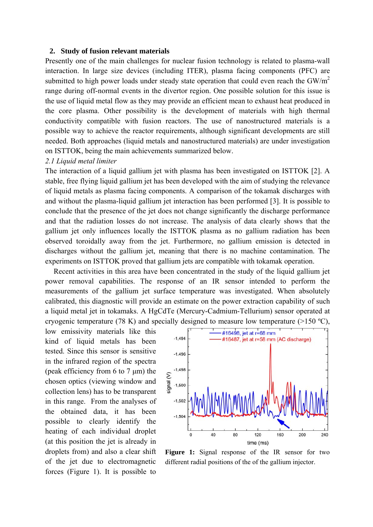#### **2. Study of fusion relevant materials**

Presently one of the main challenges for nuclear fusion technology is related to plasma-wall interaction. In large size devices (including ITER), plasma facing components (PFC) are submitted to high power loads under steady state operation that could even reach the  $GW/m<sup>2</sup>$ range during off-normal events in the divertor region. One possible solution for this issue is the use of liquid metal flow as they may provide an efficient mean to exhaust heat produced in the core plasma. Other possibility is the development of materials with high thermal conductivity compatible with fusion reactors. The use of nanostructured materials is a possible way to achieve the reactor requirements, although significant developments are still needed. Both approaches (liquid metals and nanostructured materials) are under investigation on ISTTOK, being the main achievements summarized below.

#### *2.1 Liquid metal limiter*

The interaction of a liquid gallium jet with plasma has been investigated on ISTTOK [2]. A stable, free flying liquid gallium jet has been developed with the aim of studying the relevance of liquid metals as plasma facing components. A comparison of the tokamak discharges with and without the plasma-liquid gallium jet interaction has been performed [3]. It is possible to conclude that the presence of the jet does not change significantly the discharge performance and that the radiation losses do not increase. The analysis of data clearly shows that the gallium jet only influences locally the ISTTOK plasma as no gallium radiation has been observed toroidally away from the jet. Furthermore, no gallium emission is detected in discharges without the gallium jet, meaning that there is no machine contamination. The experiments on ISTTOK proved that gallium jets are compatible with tokamak operation.

Recent activities in this area have been concentrated in the study of the liquid gallium jet power removal capabilities. The response of an IR sensor intended to perform the measurements of the gallium jet surface temperature was investigated. When absolutely calibrated, this diagnostic will provide an estimate on the power extraction capability of such a liquid metal jet in tokamaks. A HgCdTe (Mercury-Cadmium-Tellurium) sensor operated at cryogenic temperature (78 K) and specially designed to measure low temperature ( $>150 \text{ °C}$ ),

low emissivity materials like this kind of liquid metals has been tested. Since this sensor is sensitive in the infrared region of the spectra (peak efficiency from 6 to 7  $\mu$ m) the chosen optics (viewing window and collection lens) has to be transparent in this range. From the analyses of the obtained data, it has been possible to clearly identify the heating of each individual droplet (at this position the jet is already in droplets from) and also a clear shift of the jet due to electromagnetic forces (Figure 1). It is possible to



**Figure 1:** Signal response of the IR sensor for two different radial positions of the of the gallium injector.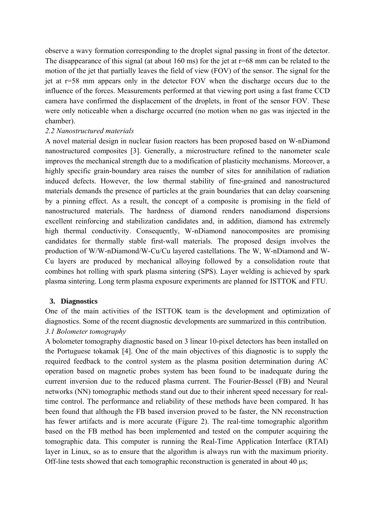observe a wavy formation corresponding to the droplet signal passing in front of the detector. The disappearance of this signal (at about  $160 \text{ ms}$ ) for the jet at  $r=68 \text{ mm}$  can be related to the motion of the jet that partially leaves the field of view (FOV) of the sensor. The signal for the jet at r=58 mm appears only in the detector FOV when the discharge occurs due to the influence of the forces. Measurements performed at that viewing port using a fast frame CCD camera have confirmed the displacement of the droplets, in front of the sensor FOV. These were only noticeable when a discharge occurred (no motion when no gas was injected in the chamber).

## *2.2 Nanostructured materials*

A novel material design in nuclear fusion reactors has been proposed based on W-nDiamond nanostructured composites [3]. Generally, a microstructure refined to the nanometer scale improves the mechanical strength due to a modification of plasticity mechanisms. Moreover, a highly specific grain-boundary area raises the number of sites for annihilation of radiation induced defects. However, the low thermal stability of fine-grained and nanostructured materials demands the presence of particles at the grain boundaries that can delay coarsening by a pinning effect. As a result, the concept of a composite is promising in the field of nanostructured materials. The hardness of diamond renders nanodiamond dispersions excellent reinforcing and stabilization candidates and, in addition, diamond has extremely high thermal conductivity. Consequently, W-nDiamond nanocomposites are promising candidates for thermally stable first-wall materials. The proposed design involves the production of W/W-nDiamond/W-Cu/Cu layered castellations. The W, W-nDiamond and W-Cu layers are produced by mechanical alloying followed by a consolidation route that combines hot rolling with spark plasma sintering (SPS). Layer welding is achieved by spark plasma sintering. Long term plasma exposure experiments are planned for ISTTOK and FTU.

## **3. Diagnostics**

One of the main activities of the ISTTOK team is the development and optimization of diagnostics. Some of the recent diagnostic developments are summarized in this contribution. *3.1 Bolometer tomography* 

A bolometer tomography diagnostic based on 3 linear 10-pixel detectors has been installed on the Portuguese tokamak [4]. One of the main objectives of this diagnostic is to supply the required feedback to the control system as the plasma position determination during AC operation based on magnetic probes system has been found to be inadequate during the current inversion due to the reduced plasma current. The Fourier-Bessel (FB) and Neural networks (NN) tomographic methods stand out due to their inherent speed necessary for realtime control. The performance and reliability of these methods have been compared. It has been found that although the FB based inversion proved to be faster, the NN reconstruction has fewer artifacts and is more accurate (Figure 2). The real-time tomographic algorithm based on the FB method has been implemented and tested on the computer acquiring the tomographic data. This computer is running the Real-Time Application Interface (RTAI) layer in Linux, so as to ensure that the algorithm is always run with the maximum priority. Off-line tests showed that each tomographic reconstruction is generated in about 40 µs;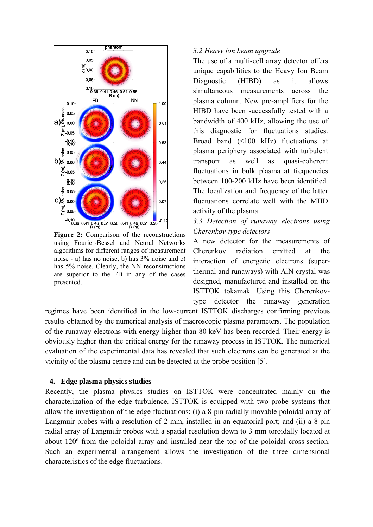

using Fourier-Bessel and Neural Networks algorithms for different ranges of measurement noise - a) has no noise, b) has 3% noise and c) has 5% noise. Clearly, the NN reconstructions are superior to the FB in any of the cases presented.

## *3.2 Heavy ion beam upgrade*

The use of a multi-cell array detector offers unique capabilities to the Heavy Ion Beam Diagnostic (HIBD) as it allows simultaneous measurements across the plasma column. New pre-amplifiers for the HIBD have been successfully tested with a bandwidth of 400 kHz, allowing the use of this diagnostic for fluctuations studies. Broad band (<100 kHz) fluctuations at plasma periphery associated with turbulent transport as well as quasi-coherent fluctuations in bulk plasma at frequencies between 100-200 kHz have been identified. The localization and frequency of the latter fluctuations correlate well with the MHD activity of the plasma.

*3.3 Detection of runaway electrons using Cherenkov-type detectors*

A new detector for the measurements of Cherenkov radiation emitted at the interaction of energetic electrons (superthermal and runaways) with AlN crystal was designed, manufactured and installed on the ISTTOK tokamak. Using this Cherenkovtype detector the runaway generation

regimes have been identified in the low-current ISTTOK discharges confirming previous results obtained by the numerical analysis of macroscopic plasma parameters. The population of the runaway electrons with energy higher than 80 keV has been recorded. Their energy is obviously higher than the critical energy for the runaway process in ISTTOK. The numerical evaluation of the experimental data has revealed that such electrons can be generated at the vicinity of the plasma centre and can be detected at the probe position [5].

## **4. Edge plasma physics studies**

Recently, the plasma physics studies on ISTTOK were concentrated mainly on the characterization of the edge turbulence. ISTTOK is equipped with two probe systems that allow the investigation of the edge fluctuations: (i) a 8-pin radially movable poloidal array of Langmuir probes with a resolution of 2 mm, installed in an equatorial port; and (ii) a 8-pin radial array of Langmuir probes with a spatial resolution down to 3 mm toroidally located at about 120º from the poloidal array and installed near the top of the poloidal cross-section. Such an experimental arrangement allows the investigation of the three dimensional characteristics of the edge fluctuations.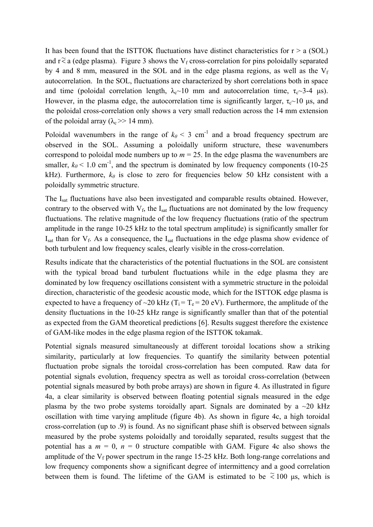It has been found that the ISTTOK fluctuations have distinct characteristics for  $r > a$  (SOL) and  $r \tilde{\le} a$  (edge plasma). Figure 3 shows the V<sub>f</sub> cross-correlation for pins poloidally separated by 4 and 8 mm, measured in the SOL and in the edge plasma regions, as well as the  $V_f$ autocorrelation. In the SOL, fluctuations are characterized by short correlations both in space and time (poloidal correlation length,  $\lambda_c \sim 10$  mm and autocorrelation time,  $\tau_c \sim 3-4$  µs). However, in the plasma edge, the autocorrelation time is significantly larger,  $\tau_c \sim 10$  µs, and the poloidal cross-correlation only shows a very small reduction across the 14 mm extension of the poloidal array ( $\lambda_c$  >> 14 mm).

Poloidal wavenumbers in the range of  $k_\theta$  < 3 cm<sup>-1</sup> and a broad frequency spectrum are observed in the SOL. Assuming a poloidally uniform structure, these wavenumbers correspond to poloidal mode numbers up to  $m = 25$ . In the edge plasma the wavenumbers are smaller,  $k_\theta$  < 1.0 cm<sup>-1</sup>, and the spectrum is dominated by low frequency components (10-25) kHz). Furthermore,  $k_{\theta}$  is close to zero for frequencies below 50 kHz consistent with a poloidally symmetric structure.

The I<sub>sat</sub> fluctuations have also been investigated and comparable results obtained. However, contrary to the observed with  $V_f$ , the I<sub>sat</sub> fluctuations are not dominated by the low frequency fluctuations. The relative magnitude of the low frequency fluctuations (ratio of the spectrum amplitude in the range 10-25 kHz to the total spectrum amplitude) is significantly smaller for  $I<sub>sat</sub>$  than for  $V<sub>f</sub>$ . As a consequence, the  $I<sub>sat</sub>$  fluctuations in the edge plasma show evidence of both turbulent and low frequency scales, clearly visible in the cross-correlation.

Results indicate that the characteristics of the potential fluctuations in the SOL are consistent with the typical broad band turbulent fluctuations while in the edge plasma they are dominated by low frequency oscillations consistent with a symmetric structure in the poloidal direction, characteristic of the geodesic acoustic mode, which for the ISTTOK edge plasma is expected to have a frequency of  $\sim$ 20 kHz (T<sub>i</sub> = T<sub>e</sub> = 20 eV). Furthermore, the amplitude of the density fluctuations in the 10-25 kHz range is significantly smaller than that of the potential as expected from the GAM theoretical predictions [6]. Results suggest therefore the existence of GAM-like modes in the edge plasma region of the ISTTOK tokamak.

Potential signals measured simultaneously at different toroidal locations show a striking similarity, particularly at low frequencies. To quantify the similarity between potential fluctuation probe signals the toroidal cross-correlation has been computed. Raw data for potential signals evolution, frequency spectra as well as toroidal cross-correlation (between potential signals measured by both probe arrays) are shown in figure 4. As illustrated in figure 4a, a clear similarity is observed between floating potential signals measured in the edge plasma by the two probe systems toroidally apart. Signals are dominated by a  $\sim$ 20 kHz oscillation with time varying amplitude (figure 4b). As shown in figure 4c, a high toroidal cross-correlation (up to .9) is found. As no significant phase shift is observed between signals measured by the probe systems poloidally and toroidally separated, results suggest that the potential has a  $m = 0$ ,  $n = 0$  structure compatible with GAM. Figure 4c also shows the amplitude of the  $V_f$  power spectrum in the range 15-25 kHz. Both long-range correlations and low frequency components show a significant degree of intermittency and a good correlation between them is found. The lifetime of the GAM is estimated to be  $\approx 100$  µs, which is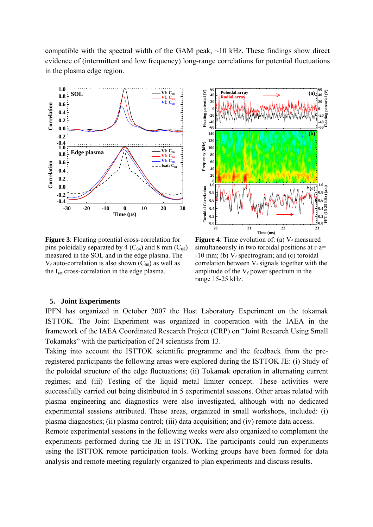compatible with the spectral width of the GAM peak,  $\sim$ 10 kHz. These findings show direct evidence of (intermittent and low frequency) long-range correlations for potential fluctuations in the plasma edge region.



**Figure 3**: Floating potential cross-correlation for pins poloidally separated by 4  $(C_{04})$  and 8 mm  $(C_{08})$ measured in the SOL and in the edge plasma. The  $V_f$  auto-correlation is also shown  $(C_{00})$  as well as the I<sub>sat</sub> cross-correlation in the edge plasma.



**Figure 4**: Time evolution of: (a)  $V_f$  measured simultaneously in two toroidal positions at r-a=  $-10$  mm; (b)  $V_f$  spectrogram; and (c) toroidal correlation between  $V_f$  signals together with the amplitude of the  $V_f$  power spectrum in the range 15-25 kHz.

#### **5. Joint Experiments**

IPFN has organized in October 2007 the Host Laboratory Experiment on the tokamak ISTTOK. The Joint Experiment was organized in cooperation with the IAEA in the framework of the IAEA Coordinated Research Project (CRP) on "Joint Research Using Small Tokamaks" with the participation of 24 scientists from 13.

Taking into account the ISTTOK scientific programme and the feedback from the preregistered participants the following areas were explored during the ISTTOK JE: (i) Study of the poloidal structure of the edge fluctuations; (ii) Tokamak operation in alternating current regimes; and (iii) Testing of the liquid metal limiter concept. These activities were successfully carried out being distributed in 5 experimental sessions. Other areas related with plasma engineering and diagnostics were also investigated, although with no dedicated experimental sessions attributed. These areas, organized in small workshops, included: (i) plasma diagnostics; (ii) plasma control; (iii) data acquisition; and (iv) remote data access.

Remote experimental sessions in the following weeks were also organized to complement the experiments performed during the JE in ISTTOK. The participants could run experiments using the ISTTOK remote participation tools. Working groups have been formed for data analysis and remote meeting regularly organized to plan experiments and discuss results.